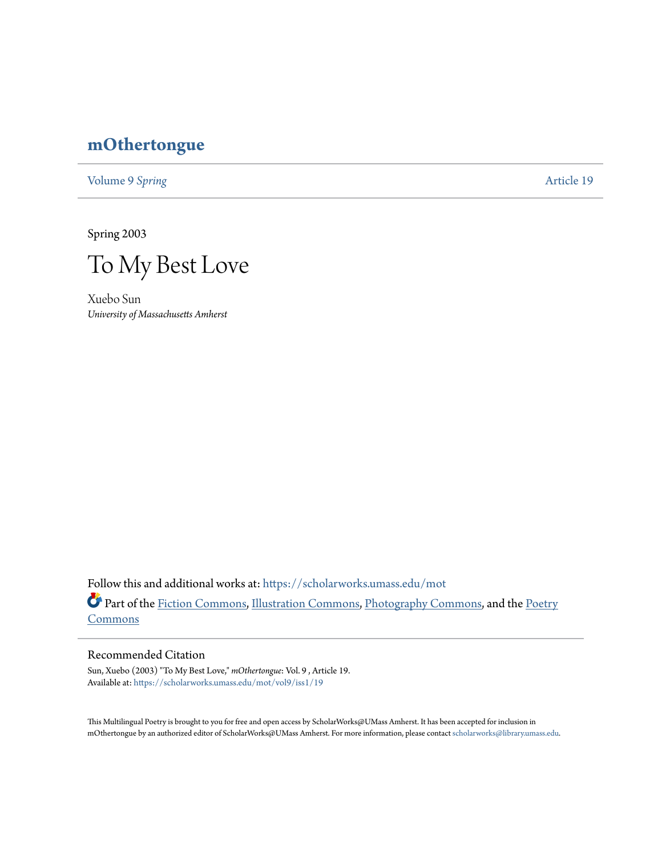## **[mOthertongue](https://scholarworks.umass.edu/mot?utm_source=scholarworks.umass.edu%2Fmot%2Fvol9%2Fiss1%2F19&utm_medium=PDF&utm_campaign=PDFCoverPages)**

[Volume 9](https://scholarworks.umass.edu/mot/vol9?utm_source=scholarworks.umass.edu%2Fmot%2Fvol9%2Fiss1%2F19&utm_medium=PDF&utm_campaign=PDFCoverPages) Spring **[Article 19](https://scholarworks.umass.edu/mot/vol9/iss1/19?utm_source=scholarworks.umass.edu%2Fmot%2Fvol9%2Fiss1%2F19&utm_medium=PDF&utm_campaign=PDFCoverPages)** 

Spring 2003

To My Best Love

Xuebo Sun *University of Massachusetts Amherst*

Follow this and additional works at: [https://scholarworks.umass.edu/mot](https://scholarworks.umass.edu/mot?utm_source=scholarworks.umass.edu%2Fmot%2Fvol9%2Fiss1%2F19&utm_medium=PDF&utm_campaign=PDFCoverPages) Part of the [Fiction Commons](http://network.bepress.com/hgg/discipline/1151?utm_source=scholarworks.umass.edu%2Fmot%2Fvol9%2Fiss1%2F19&utm_medium=PDF&utm_campaign=PDFCoverPages), [Illustration Commons,](http://network.bepress.com/hgg/discipline/1135?utm_source=scholarworks.umass.edu%2Fmot%2Fvol9%2Fiss1%2F19&utm_medium=PDF&utm_campaign=PDFCoverPages) [Photography Commons,](http://network.bepress.com/hgg/discipline/1142?utm_source=scholarworks.umass.edu%2Fmot%2Fvol9%2Fiss1%2F19&utm_medium=PDF&utm_campaign=PDFCoverPages) and the [Poetry](http://network.bepress.com/hgg/discipline/1153?utm_source=scholarworks.umass.edu%2Fmot%2Fvol9%2Fiss1%2F19&utm_medium=PDF&utm_campaign=PDFCoverPages) **[Commons](http://network.bepress.com/hgg/discipline/1153?utm_source=scholarworks.umass.edu%2Fmot%2Fvol9%2Fiss1%2F19&utm_medium=PDF&utm_campaign=PDFCoverPages)** 

## Recommended Citation

Sun, Xuebo (2003) "To My Best Love," *mOthertongue*: Vol. 9 , Article 19. Available at: [https://scholarworks.umass.edu/mot/vol9/iss1/19](https://scholarworks.umass.edu/mot/vol9/iss1/19?utm_source=scholarworks.umass.edu%2Fmot%2Fvol9%2Fiss1%2F19&utm_medium=PDF&utm_campaign=PDFCoverPages)

This Multilingual Poetry is brought to you for free and open access by ScholarWorks@UMass Amherst. It has been accepted for inclusion in mOthertongue by an authorized editor of ScholarWorks@UMass Amherst. For more information, please contact [scholarworks@library.umass.edu](mailto:scholarworks@library.umass.edu).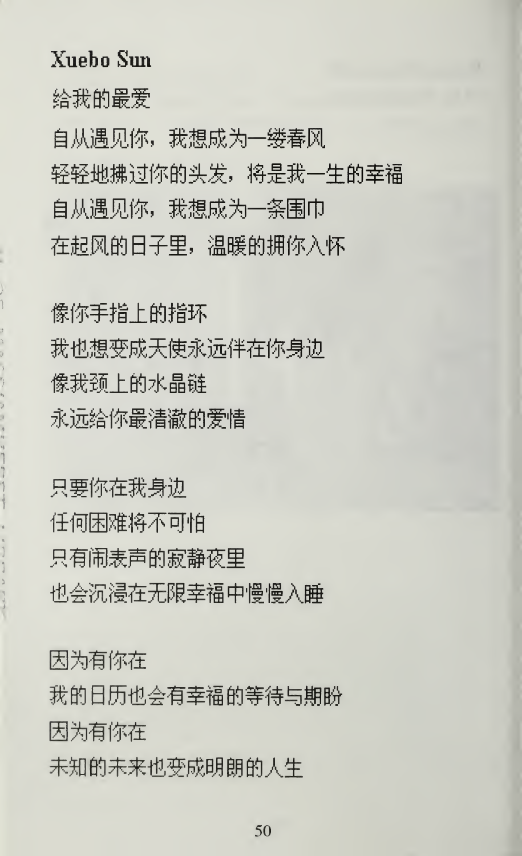## Xuebo Sun

给我的最爱

自从遇见你,我想成为一缕春风 轻轻地拂过你的头发,将是我一生的幸福 自从遇见你,我想成为一条围巾 在起风的日子里,温暖的拥你入怀

像你手指上的指环 我也想变成天使永远伴在你身边 像我颈上的水晶链 永远给你最清澈的爱情

只要你在我身边 任何困难将不可怕 只有闹表声的寂静夜里 也会沉浸在无限幸福中慢慢入睡

因为有你在 我的日历也会有幸福的等待与期盼 因为有你在 未知的未来也变成明朗的人生